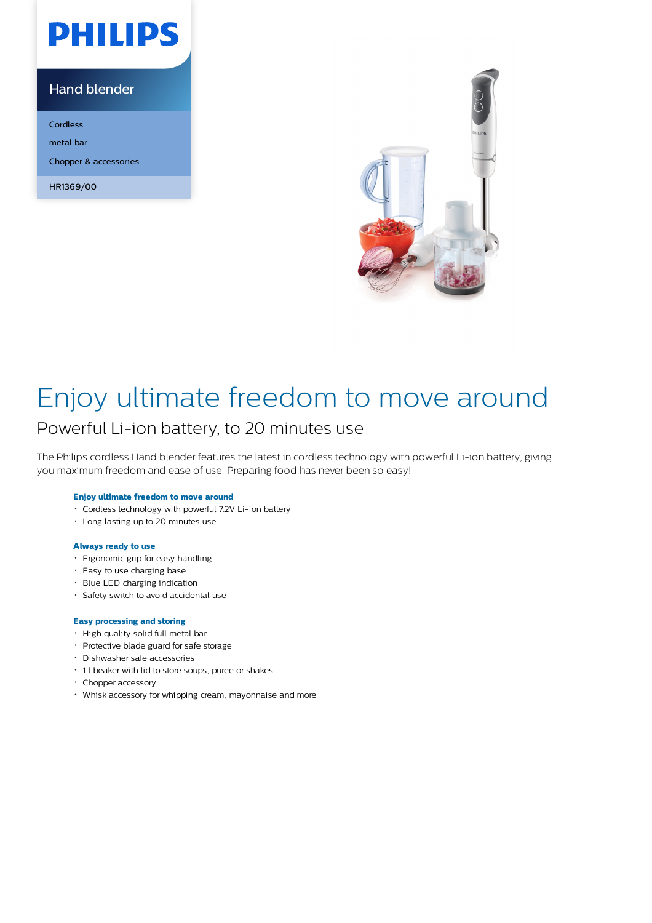# **PHILIPS**

### Hand blender

Cordless metal bar Chopper & accessories

HR1369/00



## Enjoy ultimate freedom to move around

### Powerful Li-ion battery, to 20 minutes use

The Philips cordless Hand blender features the latest in cordless technology with powerful Li-ion battery, giving you maximum freedom and ease of use. Preparing food has never been so easy!

#### **Enjoy ultimate freedom to move around**

- Cordless technology with powerful 7.2V Li-ion battery
- Long lasting up to 20 minutes use

#### **Always ready to use**

- Ergonomic grip for easy handling
- Easy to use charging base
- Blue LED charging indication
- Safety switch to avoid accidental use

#### **Easy processing and storing**

- High quality solid full metal bar
- Protective blade guard for safe storage
- Dishwasher safe accessories
- 1 l beaker with lid to store soups, puree or shakes
- Chopper accessory
- Whisk accessory for whipping cream, mayonnaise and more